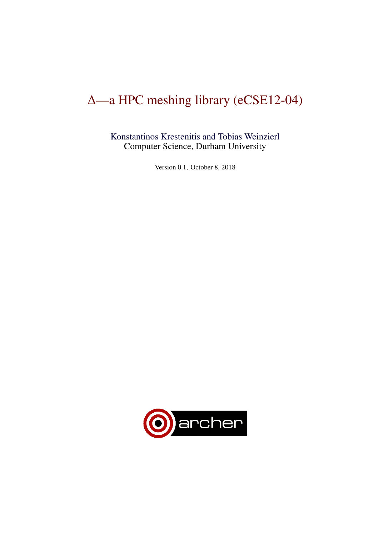# ∆—a HPC meshing library (eCSE12-04)

[Konstantinos Krestenitis and Tobias Weinzierl](dur.ac.uk/tobias.weinzierl) Computer Science, Durham University

Version 0.1, October 8, 2018

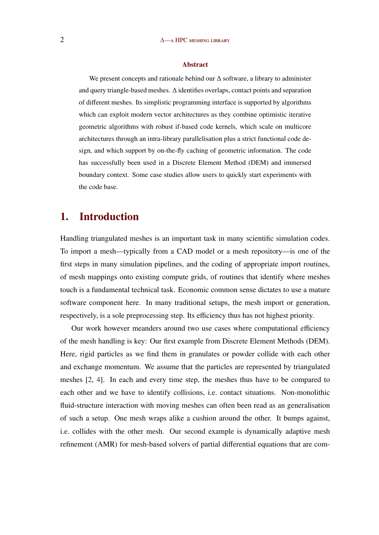#### Abstract

We present concepts and rationale behind our ∆ software, a library to administer and query triangle-based meshes.  $\Delta$  identifies overlaps, contact points and separation of different meshes. Its simplistic programming interface is supported by algorithms which can exploit modern vector architectures as they combine optimistic iterative geometric algorithms with robust if-based code kernels, which scale on multicore architectures through an intra-library parallelisation plus a strict functional code design, and which support by on-the-fly caching of geometric information. The code has successfully been used in a Discrete Element Method (DEM) and immersed boundary context. Some case studies allow users to quickly start experiments with the code base.

## 1. Introduction

Handling triangulated meshes is an important task in many scientific simulation codes. To import a mesh—typically from a CAD model or a mesh repository—is one of the first steps in many simulation pipelines, and the coding of appropriate import routines, of mesh mappings onto existing compute grids, of routines that identify where meshes touch is a fundamental technical task. Economic common sense dictates to use a mature software component here. In many traditional setups, the mesh import or generation, respectively, is a sole preprocessing step. Its efficiency thus has not highest priority.

Our work however meanders around two use cases where computational efficiency of the mesh handling is key: Our first example from Discrete Element Methods (DEM). Here, rigid particles as we find them in granulates or powder collide with each other and exchange momentum. We assume that the particles are represented by triangulated meshes [\[2,](#page-13-0) [4\]](#page-14-0). In each and every time step, the meshes thus have to be compared to each other and we have to identify collisions, i.e. contact situations. Non-monolithic fluid-structure interaction with moving meshes can often been read as an generalisation of such a setup. One mesh wraps alike a cushion around the other. It bumps against, i.e. collides with the other mesh. Our second example is dynamically adaptive mesh refinement (AMR) for mesh-based solvers of partial differential equations that are com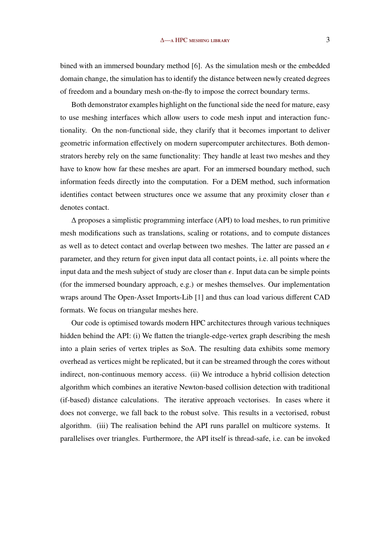bined with an immersed boundary method [\[6\]](#page-14-0). As the simulation mesh or the embedded domain change, the simulation has to identify the distance between newly created degrees of freedom and a boundary mesh on-the-fly to impose the correct boundary terms.

Both demonstrator examples highlight on the functional side the need for mature, easy to use meshing interfaces which allow users to code mesh input and interaction functionality. On the non-functional side, they clarify that it becomes important to deliver geometric information effectively on modern supercomputer architectures. Both demonstrators hereby rely on the same functionality: They handle at least two meshes and they have to know how far these meshes are apart. For an immersed boundary method, such information feeds directly into the computation. For a DEM method, such information identifies contact between structures once we assume that any proximity closer than  $\epsilon$ denotes contact.

∆ proposes a simplistic programming interface (API) to load meshes, to run primitive mesh modifications such as translations, scaling or rotations, and to compute distances as well as to detect contact and overlap between two meshes. The latter are passed an  $\epsilon$ parameter, and they return for given input data all contact points, i.e. all points where the input data and the mesh subject of study are closer than  $\epsilon$ . Input data can be simple points (for the immersed boundary approach, e.g.) or meshes themselves. Our implementation wraps around The Open-Asset Imports-Lib [\[1\]](#page-13-0) and thus can load various different CAD formats. We focus on triangular meshes here.

Our code is optimised towards modern HPC architectures through various techniques hidden behind the API: (i) We flatten the triangle-edge-vertex graph describing the mesh into a plain series of vertex triples as SoA. The resulting data exhibits some memory overhead as vertices might be replicated, but it can be streamed through the cores without indirect, non-continuous memory access. (ii) We introduce a hybrid collision detection algorithm which combines an iterative Newton-based collision detection with traditional (if-based) distance calculations. The iterative approach vectorises. In cases where it does not converge, we fall back to the robust solve. This results in a vectorised, robust algorithm. (iii) The realisation behind the API runs parallel on multicore systems. It parallelises over triangles. Furthermore, the API itself is thread-safe, i.e. can be invoked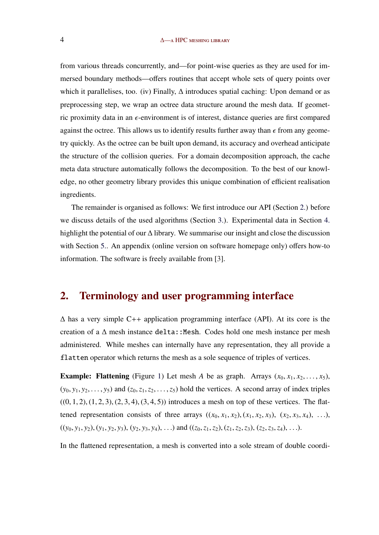#### 4 ∆—a HPC meshing library

from various threads concurrently, and—for point-wise queries as they are used for immersed boundary methods—offers routines that accept whole sets of query points over which it parallelises, too. (iv) Finally,  $\Delta$  introduces spatial caching: Upon demand or as preprocessing step, we wrap an octree data structure around the mesh data. If geometric proximity data in an  $\epsilon$ -environment is of interest, distance queries are first compared against the octree. This allows us to identify results further away than  $\epsilon$  from any geometry quickly. As the octree can be built upon demand, its accuracy and overhead anticipate the structure of the collision queries. For a domain decomposition approach, the cache meta data structure automatically follows the decomposition. To the best of our knowledge, no other geometry library provides this unique combination of efficient realisation ingredients.

The remainder is organised as follows: We first introduce our API (Section 2.) before we discuss details of the used algorithms (Section [3.\)](#page-5-0). Experimental data in Section [4.](#page-10-0) highlight the potential of our ∆ library. We summarise our insight and close the discussion with Section [5..](#page-12-0) An appendix (online version on software homepage only) offers how-to information. The software is freely available from [\[3\]](#page-14-0).

## 2. Terminology and user programming interface

 $\Delta$  has a very simple C++ application programming interface (API). At its core is the creation of a  $\Delta$  mesh instance delta::Mesh. Codes hold one mesh instance per mesh administered. While meshes can internally have any representation, they all provide a flatten operator which returns the mesh as a sole sequence of triples of vertices.

**Example: Flattening** (Figure [1\)](#page-4-0) Let mesh *A* be as graph. Arrays  $(x_0, x_1, x_2, \ldots, x_5)$ ,  $(y_0, y_1, y_2, \ldots, y_5)$  and  $(z_0, z_1, z_2, \ldots, z_5)$  hold the vertices. A second array of index triples  $((0, 1, 2), (1, 2, 3), (2, 3, 4), (3, 4, 5))$  introduces a mesh on top of these vertices. The flattened representation consists of three arrays  $((x_0, x_1, x_2), (x_1, x_2, x_3), (x_2, x_3, x_4), \ldots)$ ,  $((y_0, y_1, y_2), (y_1, y_2, y_3), (y_2, y_3, y_4), ...)$  and  $((z_0, z_1, z_2), (z_1, z_2, z_3), (z_2, z_3, z_4), ...)$ .

In the flattened representation, a mesh is converted into a sole stream of double coordi-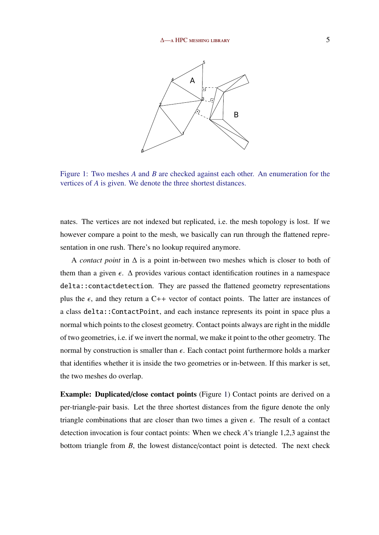<span id="page-4-0"></span>

Figure 1: Two meshes *A* and *B* are checked against each other. An enumeration for the vertices of *A* is given. We denote the three shortest distances.

nates. The vertices are not indexed but replicated, i.e. the mesh topology is lost. If we however compare a point to the mesh, we basically can run through the flattened representation in one rush. There's no lookup required anymore.

A *contact point* in ∆ is a point in-between two meshes which is closer to both of them than a given  $\epsilon$ .  $\Delta$  provides various contact identification routines in a namespace delta::contactdetection. They are passed the flattened geometry representations plus the  $\epsilon$ , and they return a C++ vector of contact points. The latter are instances of a class delta::ContactPoint, and each instance represents its point in space plus a normal which points to the closest geometry. Contact points always are right in the middle of two geometries, i.e. if we invert the normal, we make it point to the other geometry. The normal by construction is smaller than  $\epsilon$ . Each contact point furthermore holds a marker that identifies whether it is inside the two geometries or in-between. If this marker is set, the two meshes do overlap.

Example: Duplicated/close contact points (Figure 1) Contact points are derived on a per-triangle-pair basis. Let the three shortest distances from the figure denote the only triangle combinations that are closer than two times a given  $\epsilon$ . The result of a contact detection invocation is four contact points: When we check *A*'s triangle 1,2,3 against the bottom triangle from *B*, the lowest distance/contact point is detected. The next check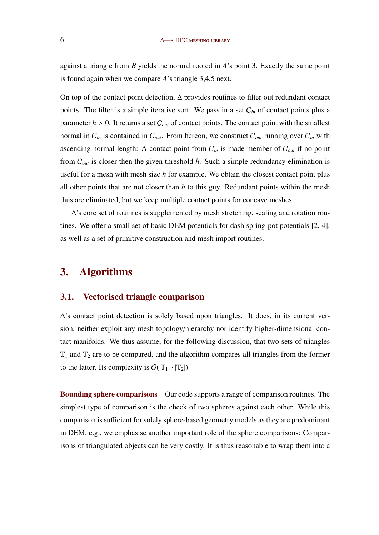<span id="page-5-0"></span>against a triangle from *B* yields the normal rooted in *A*'s point 3. Exactly the same point is found again when we compare *A*'s triangle 3,4,5 next.

On top of the contact point detection, ∆ provides routines to filter out redundant contact points. The filter is a simple iterative sort: We pass in a set C*in* of contact points plus a parameter  $h > 0$ . It returns a set  $C_{out}$  of contact points. The contact point with the smallest normal in  $C_{in}$  is contained in  $C_{out}$ . From hereon, we construct  $C_{out}$  running over  $C_{in}$  with ascending normal length: A contact point from  $C_{in}$  is made member of  $C_{out}$  if no point from C*out* is closer then the given threshold *h*. Such a simple redundancy elimination is useful for a mesh with mesh size *h* for example. We obtain the closest contact point plus all other points that are not closer than *h* to this guy. Redundant points within the mesh thus are eliminated, but we keep multiple contact points for concave meshes.

∆'s core set of routines is supplemented by mesh stretching, scaling and rotation routines. We offer a small set of basic DEM potentials for dash spring-pot potentials [\[2,](#page-13-0) [4\]](#page-14-0), as well as a set of primitive construction and mesh import routines.

## 3. Algorithms

### 3.1. Vectorised triangle comparison

∆'s contact point detection is solely based upon triangles. It does, in its current version, neither exploit any mesh topology/hierarchy nor identify higher-dimensional contact manifolds. We thus assume, for the following discussion, that two sets of triangles  $T_1$  and  $T_2$  are to be compared, and the algorithm compares all triangles from the former to the latter. Its complexity is  $O(|\mathbb{T}_1| \cdot |\mathbb{T}_2|)$ .

Bounding sphere comparisons Our code supports a range of comparison routines. The simplest type of comparison is the check of two spheres against each other. While this comparison is sufficient for solely sphere-based geometry models as they are predominant in DEM, e.g., we emphasise another important role of the sphere comparisons: Comparisons of triangulated objects can be very costly. It is thus reasonable to wrap them into a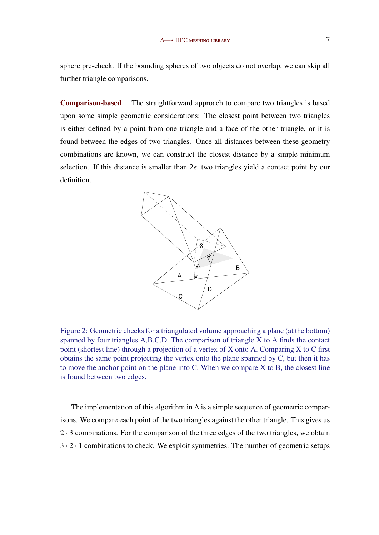<span id="page-6-0"></span>sphere pre-check. If the bounding spheres of two objects do not overlap, we can skip all further triangle comparisons.

Comparison-based The straightforward approach to compare two triangles is based upon some simple geometric considerations: The closest point between two triangles is either defined by a point from one triangle and a face of the other triangle, or it is found between the edges of two triangles. Once all distances between these geometry combinations are known, we can construct the closest distance by a simple minimum selection. If this distance is smaller than  $2\epsilon$ , two triangles yield a contact point by our definition.



Figure 2: Geometric checks for a triangulated volume approaching a plane (at the bottom) spanned by four triangles A,B,C,D. The comparison of triangle X to A finds the contact point (shortest line) through a projection of a vertex of X onto A. Comparing X to C first obtains the same point projecting the vertex onto the plane spanned by C, but then it has to move the anchor point on the plane into C. When we compare X to B, the closest line is found between two edges.

The implementation of this algorithm in  $\Delta$  is a simple sequence of geometric comparisons. We compare each point of the two triangles against the other triangle. This gives us  $2 \cdot 3$  combinations. For the comparison of the three edges of the two triangles, we obtain  $3 \cdot 2 \cdot 1$  combinations to check. We exploit symmetries. The number of geometric setups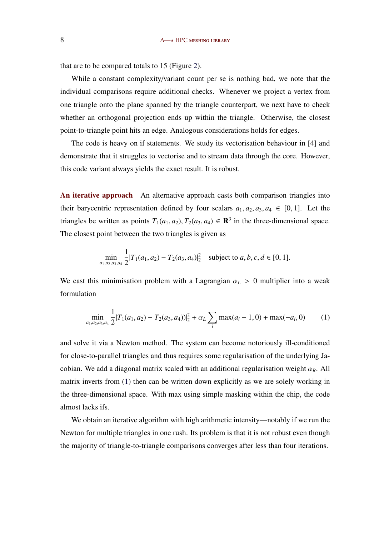<span id="page-7-0"></span>that are to be compared totals to 15 (Figure [2\)](#page-6-0).

While a constant complexity/variant count per se is nothing bad, we note that the individual comparisons require additional checks. Whenever we project a vertex from one triangle onto the plane spanned by the triangle counterpart, we next have to check whether an orthogonal projection ends up within the triangle. Otherwise, the closest point-to-triangle point hits an edge. Analogous considerations holds for edges.

The code is heavy on if statements. We study its vectorisation behaviour in [\[4\]](#page-14-0) and demonstrate that it struggles to vectorise and to stream data through the core. However, this code variant always yields the exact result. It is robust.

An iterative approach An alternative approach casts both comparison triangles into their barycentric representation defined by four scalars  $a_1, a_2, a_3, a_4 \in [0, 1]$ . Let the triangles be written as points  $T_1(a_1, a_2)$ ,  $T_2(a_3, a_4) \in \mathbb{R}^3$  in the three-dimensional space. The closest point between the two triangles is given as

$$
\min_{a_1, a_2, a_3, a_4} \frac{1}{2} |T_1(a_1, a_2) - T_2(a_3, a_4)|_2^2 \quad \text{subject to } a, b, c, d \in [0, 1].
$$

We cast this minimisation problem with a Lagrangian  $\alpha_L > 0$  multiplier into a weak formulation

$$
\min_{a_1, a_2, a_3, a_4} \frac{1}{2} |T_1(a_1, a_2) - T_2(a_3, a_4)|_2^2 + \alpha_L \sum_i \max(a_i - 1, 0) + \max(-a_i, 0) \tag{1}
$$

and solve it via a Newton method. The system can become notoriously ill-conditioned for close-to-parallel triangles and thus requires some regularisation of the underlying Jacobian. We add a diagonal matrix scaled with an additional regularisation weight  $\alpha_R$ . All matrix inverts from (1) then can be written down explicitly as we are solely working in the three-dimensional space. With max using simple masking within the chip, the code almost lacks ifs.

We obtain an iterative algorithm with high arithmetic intensity—notably if we run the Newton for multiple triangles in one rush. Its problem is that it is not robust even though the majority of triangle-to-triangle comparisons converges after less than four iterations.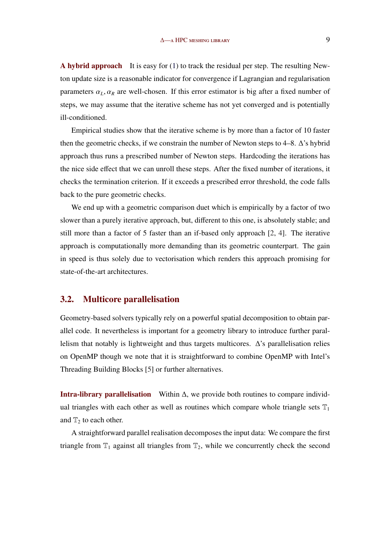A hybrid approach It is easy for  $(1)$  to track the residual per step. The resulting Newton update size is a reasonable indicator for convergence if Lagrangian and regularisation parameters  $\alpha_L, \alpha_R$  are well-chosen. If this error estimator is big after a fixed number of steps, we may assume that the iterative scheme has not yet converged and is potentially ill-conditioned.

Empirical studies show that the iterative scheme is by more than a factor of 10 faster then the geometric checks, if we constrain the number of Newton steps to 4–8.  $\Delta$ 's hybrid approach thus runs a prescribed number of Newton steps. Hardcoding the iterations has the nice side effect that we can unroll these steps. After the fixed number of iterations, it checks the termination criterion. If it exceeds a prescribed error threshold, the code falls back to the pure geometric checks.

We end up with a geometric comparison duet which is empirically by a factor of two slower than a purely iterative approach, but, different to this one, is absolutely stable; and still more than a factor of 5 faster than an if-based only approach [\[2,](#page-13-0) [4\]](#page-14-0). The iterative approach is computationally more demanding than its geometric counterpart. The gain in speed is thus solely due to vectorisation which renders this approach promising for state-of-the-art architectures.

## 3.2. Multicore parallelisation

Geometry-based solvers typically rely on a powerful spatial decomposition to obtain parallel code. It nevertheless is important for a geometry library to introduce further parallelism that notably is lightweight and thus targets multicores. ∆'s parallelisation relies on OpenMP though we note that it is straightforward to combine OpenMP with Intel's Threading Building Blocks [\[5\]](#page-14-0) or further alternatives.

Intra-library parallelisation Within  $\Delta$ , we provide both routines to compare individual triangles with each other as well as routines which compare whole triangle sets  $\mathbb{T}_1$ and  $T_2$  to each other.

A straightforward parallel realisation decomposes the input data: We compare the first triangle from  $T_1$  against all triangles from  $T_2$ , while we concurrently check the second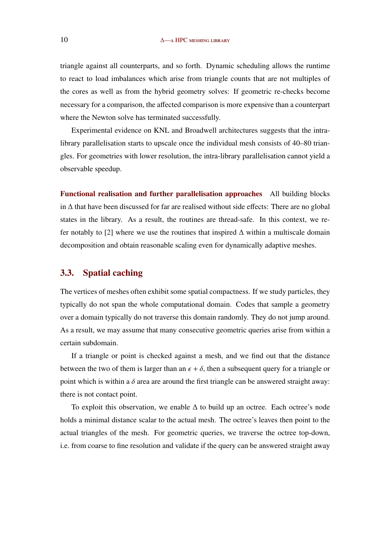triangle against all counterparts, and so forth. Dynamic scheduling allows the runtime to react to load imbalances which arise from triangle counts that are not multiples of the cores as well as from the hybrid geometry solves: If geometric re-checks become necessary for a comparison, the affected comparison is more expensive than a counterpart where the Newton solve has terminated successfully.

Experimental evidence on KNL and Broadwell architectures suggests that the intralibrary parallelisation starts to upscale once the individual mesh consists of 40–80 triangles. For geometries with lower resolution, the intra-library parallelisation cannot yield a observable speedup.

Functional realisation and further parallelisation approaches All building blocks in ∆ that have been discussed for far are realised without side effects: There are no global states in the library. As a result, the routines are thread-safe. In this context, we re-fer notably to [\[2\]](#page-13-0) where we use the routines that inspired  $\Delta$  within a multiscale domain decomposition and obtain reasonable scaling even for dynamically adaptive meshes.

#### 3.3. Spatial caching

The vertices of meshes often exhibit some spatial compactness. If we study particles, they typically do not span the whole computational domain. Codes that sample a geometry over a domain typically do not traverse this domain randomly. They do not jump around. As a result, we may assume that many consecutive geometric queries arise from within a certain subdomain.

If a triangle or point is checked against a mesh, and we find out that the distance between the two of them is larger than an  $\epsilon + \delta$ , then a subsequent query for a triangle or point which is within a  $\delta$  area are around the first triangle can be answered straight away: there is not contact point.

To exploit this observation, we enable ∆ to build up an octree. Each octree's node holds a minimal distance scalar to the actual mesh. The octree's leaves then point to the actual triangles of the mesh. For geometric queries, we traverse the octree top-down, i.e. from coarse to fine resolution and validate if the query can be answered straight away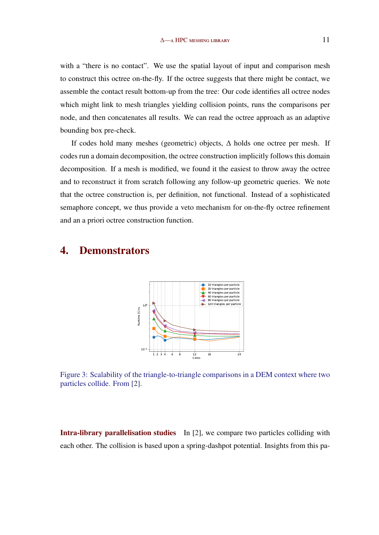<span id="page-10-0"></span>with a "there is no contact". We use the spatial layout of input and comparison mesh to construct this octree on-the-fly. If the octree suggests that there might be contact, we assemble the contact result bottom-up from the tree: Our code identifies all octree nodes which might link to mesh triangles yielding collision points, runs the comparisons per node, and then concatenates all results. We can read the octree approach as an adaptive bounding box pre-check.

If codes hold many meshes (geometric) objects, ∆ holds one octree per mesh. If codes run a domain decomposition, the octree construction implicitly follows this domain decomposition. If a mesh is modified, we found it the easiest to throw away the octree and to reconstruct it from scratch following any follow-up geometric queries. We note that the octree construction is, per definition, not functional. Instead of a sophisticated semaphore concept, we thus provide a veto mechanism for on-the-fly octree refinement and an a priori octree construction function.

## 4. Demonstrators



Figure 3: Scalability of the triangle-to-triangle comparisons in a DEM context where two particles collide. From [\[2\]](#page-13-0).

Intra-library parallelisation studies In [\[2\]](#page-13-0), we compare two particles colliding with each other. The collision is based upon a spring-dashpot potential. Insights from this pa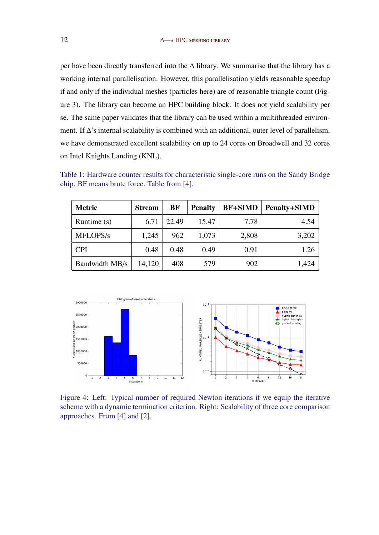<span id="page-11-0"></span>per have been directly transferred into the ∆ library. We summarise that the library has a working internal parallelisation. However, this parallelisation yields reasonable speedup if and only if the individual meshes (particles here) are of reasonable triangle count (Figure [3\)](#page-10-0). The library can become an HPC building block. It does not yield scalability per se. The same paper validates that the library can be used within a multithreaded environment. If ∆'s internal scalability is combined with an additional, outer level of parallelism, we have demonstrated excellent scalability on up to 24 cores on Broadwell and 32 cores on Intel Knights Landing (KNL).

Table 1: Hardware counter results for characteristic single-core runs on the Sandy Bridge chip. BF means brute force. Table from [\[4\]](#page-14-0).

| <b>Metric</b>  | <b>Stream</b> | BF    | <b>Penalty</b> | <b>BF+SIMD</b> | <b>Penalty+SIMD</b> |
|----------------|---------------|-------|----------------|----------------|---------------------|
| Runtime (s)    | 6.71          | 22.49 | 15.47          | 7.78           | 4.54                |
| MFLOPS/s       | 1,245         | 962   | 1,073          | 2,808          | 3,202               |
| <b>CPI</b>     | 0.48          | 0.48  | 0.49           | 0.91           | 1.26                |
| Bandwidth MB/s | 14,120        | 408   | 579            | 902            | 1,424               |



Figure 4: Left: Typical number of required Newton iterations if we equip the iterative scheme with a dynamic termination criterion. Right: Scalability of three core comparison approaches. From [\[4\]](#page-14-0) and [\[2\]](#page-13-0).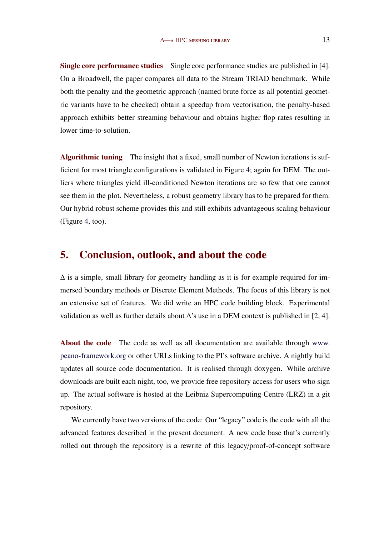<span id="page-12-0"></span>Single core performance studies Single core performance studies are published in [\[4\]](#page-14-0). On a Broadwell, the paper compares all data to the Stream TRIAD benchmark. While both the penalty and the geometric approach (named brute force as all potential geometric variants have to be checked) obtain a speedup from vectorisation, the penalty-based approach exhibits better streaming behaviour and obtains higher flop rates resulting in lower time-to-solution.

Algorithmic tuning The insight that a fixed, small number of Newton iterations is sufficient for most triangle configurations is validated in Figure [4;](#page-11-0) again for DEM. The outliers where triangles yield ill-conditioned Newton iterations are so few that one cannot see them in the plot. Nevertheless, a robust geometry library has to be prepared for them. Our hybrid robust scheme provides this and still exhibits advantageous scaling behaviour (Figure [4,](#page-11-0) too).

## 5. Conclusion, outlook, and about the code

 $\Delta$  is a simple, small library for geometry handling as it is for example required for immersed boundary methods or Discrete Element Methods. The focus of this library is not an extensive set of features. We did write an HPC code building block. Experimental validation as well as further details about  $\Delta$ 's use in a DEM context is published in [\[2,](#page-13-0) [4\]](#page-14-0).

About the code The code as well as all documentation are available through [www.](www.peano-framework.org) [peano-framework.org](www.peano-framework.org) or other URLs linking to the PI's software archive. A nightly build updates all source code documentation. It is realised through doxygen. While archive downloads are built each night, too, we provide free repository access for users who sign up. The actual software is hosted at the Leibniz Supercomputing Centre (LRZ) in a git repository.

We currently have two versions of the code: Our "legacy" code is the code with all the advanced features described in the present document. A new code base that's currently rolled out through the repository is a rewrite of this legacy/proof-of-concept software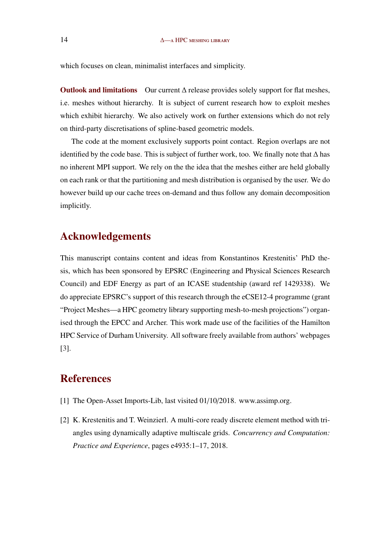<span id="page-13-0"></span>which focuses on clean, minimalist interfaces and simplicity.

Outlook and limitations Our current  $\Delta$  release provides solely support for flat meshes, i.e. meshes without hierarchy. It is subject of current research how to exploit meshes which exhibit hierarchy. We also actively work on further extensions which do not rely on third-party discretisations of spline-based geometric models.

The code at the moment exclusively supports point contact. Region overlaps are not identified by the code base. This is subject of further work, too. We finally note that ∆ has no inherent MPI support. We rely on the the idea that the meshes either are held globally on each rank or that the partitioning and mesh distribution is organised by the user. We do however build up our cache trees on-demand and thus follow any domain decomposition implicitly.

# Acknowledgements

This manuscript contains content and ideas from Konstantinos Krestenitis' PhD thesis, which has been sponsored by EPSRC (Engineering and Physical Sciences Research Council) and EDF Energy as part of an ICASE studentship (award ref 1429338). We do appreciate EPSRC's support of this research through the eCSE12-4 programme (grant "Project Meshes—a HPC geometry library supporting mesh-to-mesh projections") organised through the EPCC and Archer. This work made use of the facilities of the Hamilton HPC Service of Durham University. All software freely available from authors' webpages [\[3\]](#page-14-0).

## References

- [1] The Open-Asset Imports-Lib, last visited 01/10/2018. www.assimp.org.
- [2] K. Krestenitis and T. Weinzierl. A multi-core ready discrete element method with triangles using dynamically adaptive multiscale grids. *Concurrency and Computation: Practice and Experience*, pages e4935:1–17, 2018.